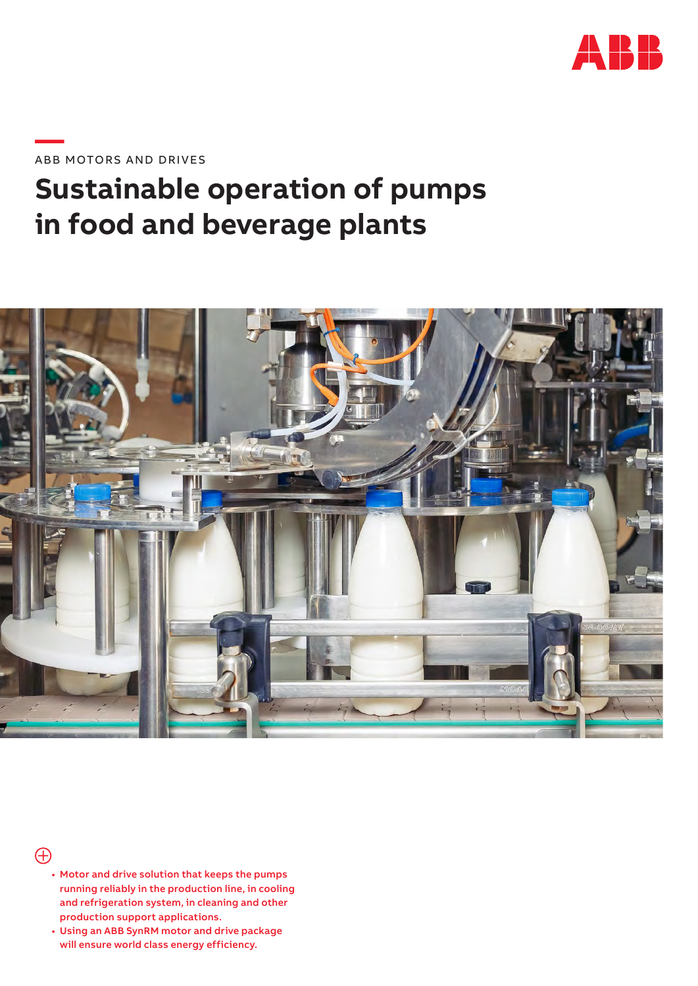

**—**ABB MOTORS AND DRIVES

# **Sustainable operation of pumps in food and beverage plants**





- Motor and drive solution that keeps the pumps running reliably in the production line, in cooling and refrigeration system, in cleaning and other production support applications.
- Using an ABB SynRM motor and drive package will ensure world class energy efficiency.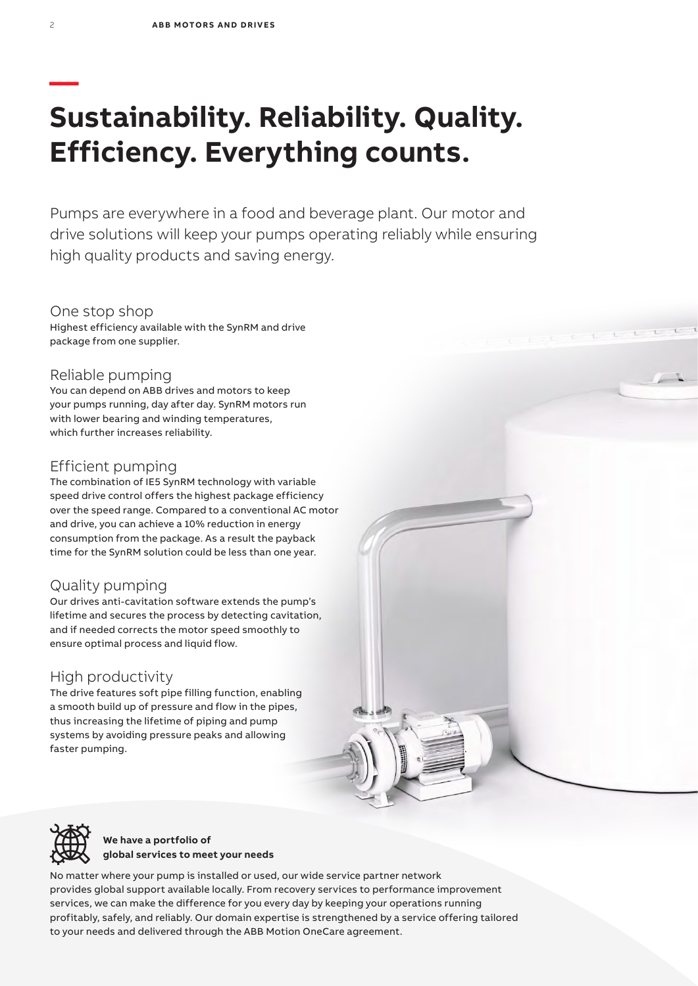# **— Sustainability. Reliability. Quality. Efficiency. Everything counts.**

Pumps are everywhere in a food and beverage plant. Our motor and drive solutions will keep your pumps operating reliably while ensuring high quality products and saving energy.

One stop shop Highest efficiency available with the SynRM and drive package from one supplier.

### Reliable pumping

You can depend on ABB drives and motors to keep your pumps running, day after day. SynRM motors run with lower bearing and winding temperatures, which further increases reliability.

## Efficient pumping

The combination of IE5 SynRM technology with variable speed drive control offers the highest package efficiency over the speed range. Compared to a conventional AC motor and drive, you can achieve a 10% reduction in energy consumption from the package. As a result the payback time for the SynRM solution could be less than one year.

## Quality pumping

Our drives anti-cavitation software extends the pump's lifetime and secures the process by detecting cavitation, and if needed corrects the motor speed smoothly to ensure optimal process and liquid flow.

### High productivity

The drive features soft pipe filling function, enabling a smooth build up of pressure and flow in the pipes, thus increasing the lifetime of piping and pump systems by avoiding pressure peaks and allowing faster pumping.





**We have a portfolio of global services to meet your needs**

No matter where your pump is installed or used, our wide service partner network provides global support available locally. From recovery services to performance improvement services, we can make the difference for you every day by keeping your operations running profitably, safely, and reliably. Our domain expertise is strengthened by a service offering tailored to your needs and delivered through the ABB Motion OneCare agreement.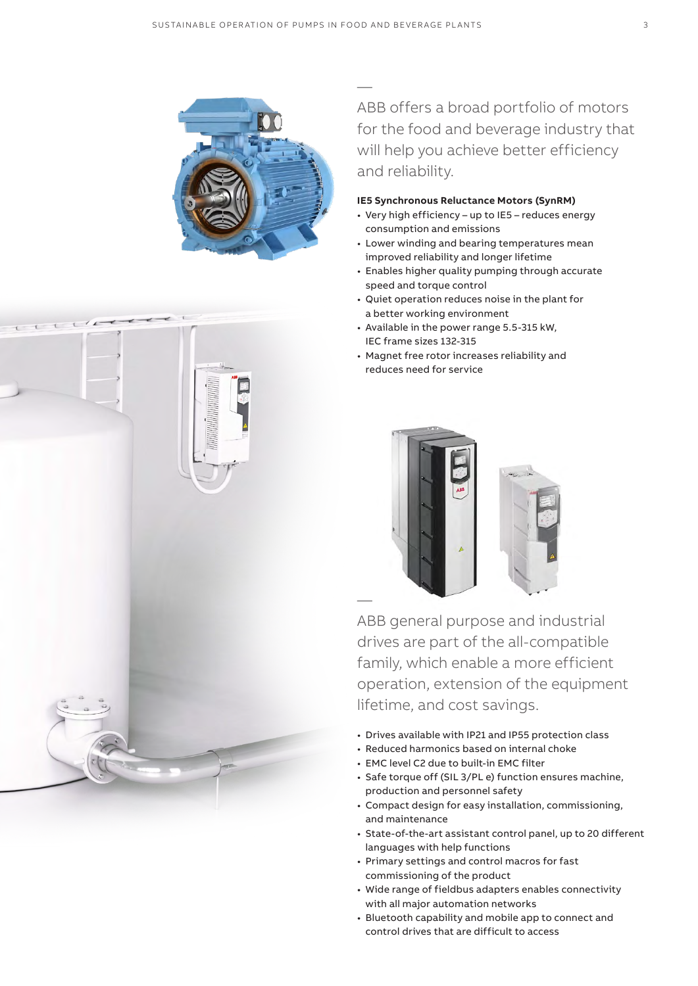

— ABB offers a broad portfolio of motors for the food and beverage industry that will help you achieve better efficiency and reliability.

#### **IE5 Synchronous Reluctance Motors (SynRM)**

- Very high efficiency up to IE5 reduces energy consumption and emissions
- Lower winding and bearing temperatures mean improved reliability and longer lifetime
- Enables higher quality pumping through accurate speed and torque control
- Quiet operation reduces noise in the plant for a better working environment
- Available in the power range 5.5-315 kW, IEC frame sizes 132-315
- Magnet free rotor increases reliability and reduces need for service



ABB general purpose and industrial drives are part of the all-compatible family, which enable a more efficient operation, extension of the equipment lifetime, and cost savings.

- Drives available with IP21 and IP55 protection class
- Reduced harmonics based on internal choke
- EMC level C2 due to built-in EMC filter
- Safe torque off (SIL 3/PL e) function ensures machine, production and personnel safety
- Compact design for easy installation, commissioning, and maintenance
- State-of-the-art assistant control panel, up to 20 different languages with help functions
- Primary settings and control macros for fast commissioning of the product
- Wide range of fieldbus adapters enables connectivity with all major automation networks
- Bluetooth capability and mobile app to connect and control drives that are difficult to access